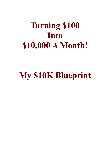# **Turning \$100 Into \$10,000 A Month!**

# **My \$10K Blueprint**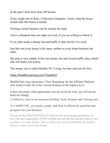In the past I built more than 200 houses.

Every single one of them, I followed a blueprint. I knew what the house would look like before I started.

Owning a home business can be exactly the same.

I have a blueprint that can make you rich, if you are willing to follow it.

Every plan needs a money site and traffic to that site for it to work.

Just like not every house is the same, neither is every home business the same.

My plan is very simple. It has one money site and several traffic sites, which also will make you money.

The money site is called Healthy NU Living. Go here and join for free:

#### <https://healthynuliving.com/?health51>

HealthyNuLiving represents a 'New Beginning' for the Affiliate Marketer who wants to take his or her current business to the highest level.

It does not matter what opportunity you are involved with, you will always need two things:

1) Effective, easy-to-use business-building Tools, Systems and Training and...

# 2) CASHFLOW...you need a steady cash flow to effectively reach the best prospects for your business

As part of the FOUNDATION of what will be an amazing adventure, we have the rare opportunity NOW to build not one but two income sources like no other ever seen before. This is where you want to be before the masses discover what you've just found.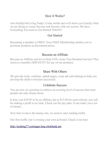## How It Works?

Join HealthyNuLiving Today! Come inside and we'll show you Exactly what we are doing to create Success and Income with our system. We have Everything You need to Get Started TODAY!

### Get Started

Becoming a member is FREE! Your FREE Membership entitles you to purchase products at discounted prices.

### Become an Affiliate

Become an Affiliate and let us Help YOU create True Residual Income? Plus receive a monthly DISCOUNT for any of our products.

# Share With Others

We provide tools, websites, splash pages, coop ads and training to help you develop the skills to become successful.

# Celebrate Success

You are now in a position to achieve an exciting level of success that most people can only dream about.

It does cost \$39.95 to be an affiliate, but at \$15.00 for each referral, you will be making a profit in no time. Check out the pay plan. It can make you a lot of money.

Now that we have the money site, we need to start sending traffic.

Our first traffic site is owning your own ad board. Check it out here:

[http://seeking77.ozimages.hop.clickbank.net](http://seeking77.ozimages.hop.clickbank.net/)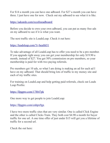For \$14 a month you can have one adboard. For \$27 a month you can have three. I just have one for now. Check out my adboard to see what it is like.

#### <https://adcardz.com/rccsfreeadboard/>

Before you decide to own your own adboard, you can put as many free ads on my adboard to see if it is what you want.

The next traffic site is LeadsLeap. Check it out here:

#### <https://leadsleap.com/?r=health51>

To take advantage of all LeadsLeap has to offer you need to be a pro member. If you upgrade right away you can get your membership for only \$19.90 a month, instead of \$27. You get 50% commission on pro members, so your membership is paid for with two paying referrals.

Pro members get 10 ads, so what I am doing is making an ad for each ad I have on my adboard. That should bring lots of traffic to my money site and each of my traffic sites.

For training on LeadsLeap and help getting paid referrals, check out Leads Leap Profits:

#### <https://llpgpro.com/17f647pk>

One more way to get people to join LeadsLeap:

#### <https://llpgpro.com/cnhpx9gx>

I have two more traffic sites that are very similar. One is called Click Engine and the other is called Clicks Train. They both cost \$4.90 a month for buyer traffic for one url. A one time offer of just under \$15 will get you a lifetime of traffic for a second url.

Check the out here: